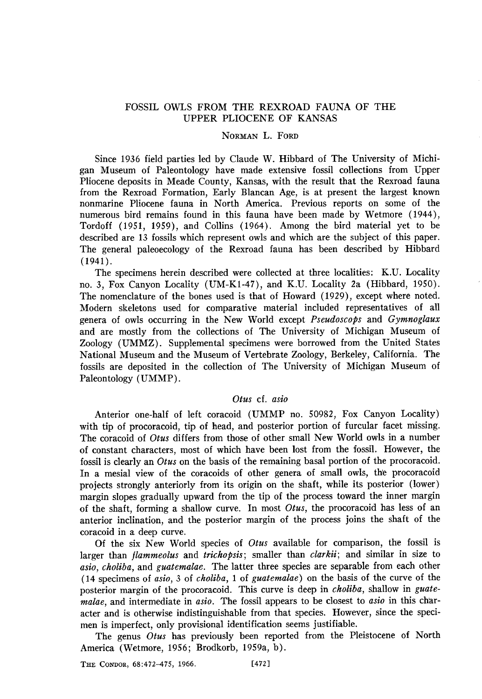# **FOSSIL OWLS FROM THE REXROAD FAUNA OF THE UPPER PLIOCENE OF KANSAS**

# **NORMAN L. FORD**

**Since 1936 field parties led by Claude W. Hibbard of The University of Michigan Museum of Paleontology have made extensive fossil collections from Upper Pliocene deposits in Meade County, Kansas, with the result that the Rexroad fauna from the Rexroad Formation, Early Blancan Age, is at present the largest known nonmarine Pliocene fauna in North America. Previous reports on some of the numerous bird remains found in this fauna have been made by Wetmore ( 1944),**  Tordoff (1951, 1959), and Collins (1964). Among the bird material yet to be **described are 13 fossils which represent owls and which are the subject of this paper. The general paleoecology of the Rexroad fauna has been described by Hibbard (1941).** 

**The specimens herein described were collected at three localities: K.U. Locality no. 3, Fox Canyon Locality (UM-Kl-47), and K.U. Locality 2a (Hibbard, 1950). The nomenclature of the bones used is that of Howard (1929), except where noted. Modern skeletons used for comparative material included representatives of all genera of owls occurring in the New World except Pseudoscops and Gymnoglaux and are mostly from the collections of The University of Michigan Museum of Zoology (UMMZ). Supplemental specimens were borrowed from the United States National Museum and the Museum of Vertebrate Zoology, Berkeley, California. The fossils are deposited in the collection of The University of Michigan Museum of Paleontology (UMMP) .** 

### **Otus cf. asio**

**Anterior one-half of left coracoid (UMMP no. 50982, Fox Canyon Locality) with tip of procoracoid, tip of head, and posterior portion of furcular facet missing. The coracoid of Otus differs from those of other small New World owls in a number of constant characters, most of which have been lost from the fossil. However, the fossil is clearly an Otus on the basis of the remaining basal portion of the procoracoid. In a mesial view of the coracoids of other genera of small owls, the procoracoid projects strongly anteriorly from its origin on the shaft, while its posterior (lower) margin slopes gradually upward from the tip of the process toward the inner margin of the shaft, forming a shallow curve. In most Otus, the procoracoid has less of an anterior inclination, and the posterior margin of the process joins the shaft of the coracoid in a deep curve.** 

**Of the six New World species of Otus available for comparison, the fossil is larger than flammeolus and trichopsis; smaller than clarkii; and similar in size to asio, choliba, and guatemalae. The latter three species are separable from each other (14 specimens of asio, 3 of choliba, 1 of guatemalae) on the basis of the curve of the**  posterior margin of the procoracoid. This curve is deep in *choliba*, shallow in *guate***malae, and intermediate in asio. The fossil appears to be closest to asio in this character and is otherwise indistinguishable from that species. However, since the specimen is imperfect, only provisional identification seems justifiable.** 

**The genus Otus has previously been reported from the Pleistocene of North America (Wetmore, 1956; Brodkorb, 1959a, b).** 

THE CONDOR, 68:472-475, 1966. [472]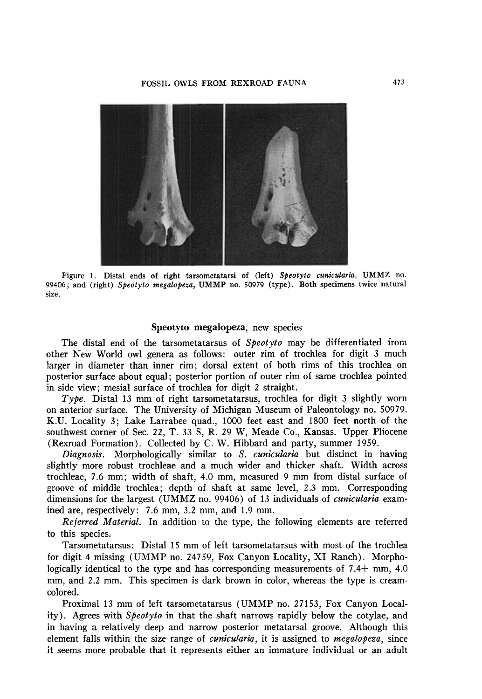# **FOSSIL OWLS FROM REXROAD FAUNA 473**



Figure 1. Distal ends of right tarsometatarsi of (left) Speotyto cunicularia, UMMZ no. **99406; and (right) Speotyto megalofieza, UMMP no. 50979 (type). Both specimens twice natural size.** 

### **Speotyto megalopeza, new species**

The distal end of the tarsometatarsus of *Speotyto* may be differentiated from **other New World owl genera as follows: outer rim of trochlea for digit 3 much larger in diameter than inner rim; dorsal extent of both rims of this trochlea on posterior surface about equal; posterior portion of outer rim of same trochlea pointed in side view; mesial surface of trochlea for digit 2 straight.** 

**Type. Distal 13 mm of right tarsometatarsus, trochlea for digit 3 slightly worn on anterior surface. The University of Michigan Museum of Paleontology no. 50979. K.U. Locality 3; Lake Larrabee quad., 1000 feet east and 1800 feet north of the southwest corner of Sec. 22, T. 33 S, R. 29 W, Meade Co., Kansas. Upper Pliocene (Rexroad Formation). Collected by C. W. Hibbard and party, summer 1959.** 

**Diagnosis. Morphologically similar to S. cunicularia but distinct in having slightly more robust trochleae and a much wider and thicker shaft. Width across trochleae, 7.6 mm; width of shaft, 4.0 mm, measured 9 mm from distal surface of groove of middle trochlea; depth of shaft at same level, 2.3 mm. Corresponding dimensions for the largest (UMMZ no. 99406) of 13 individuals of cunicularia examined are, respectively: 7.6 mm, 3.2 mm, and 1.9 mm.** 

**Referred Material.** In addition to the type, the following elements are referred **to this species.** 

**Tarsometatarsus: Distal 1.5 mm of left tarsometatarsus with most of the trochlea for digit 4 missing (UMMP no. 24759, Fox Canyon Locality, XI Ranch). Morphologically identical to the type and has corresponding measurements of 7.4+ mm, 4.0 mm, and 2.2 mm. This specimen is dark brown in color, whereas the type is creamcolored.** 

**Proximal 13 mm of left tarsometatarsus (UMMP no. 27153, Fox Canyon Locality). Agrees with Speotyto in that the shaft narrows rapidly below the cotylae, and in having a relatively deep and narrow posterior metatarsal groove. Although this element falls within the size range of cunicularia, it is assigned to megalopeza, since it seems more probable that it represents either an immature individual or an adult**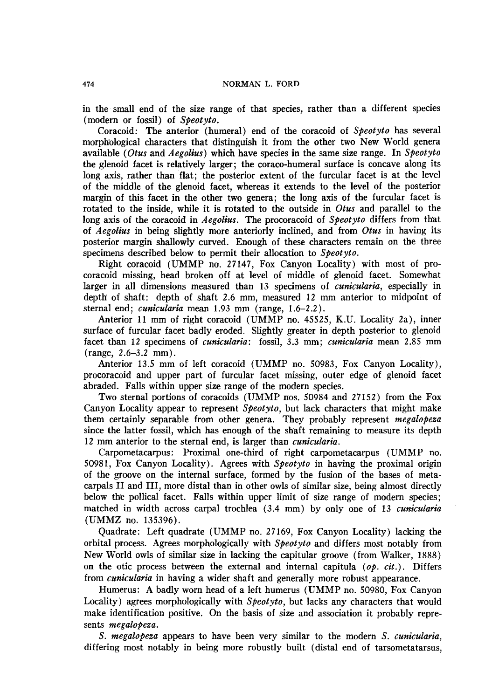**in the small end of the size range of that species, rather than a different species (modern or fossil) of Speotyto.** 

**Coracoid: The anterior (humeral) end of the coracoid of Speotyto has several morphological characters that distinguish it from the other two New World genera available (Otus and Aegolius) which have species in the same size range. In Speotyto the glenoid facet is relatively larger; the coraco-humeral surface is concave along its long axis, rather than flat; the posterior extent of the furcular facet is at the level of the middle of the glenoid facet, whereas it extends to the level of the posterior margin of this facet in the other two genera; the long axis of the furcular facet is rotated to the inside, while it is rotated to the outside in Otus and parallel to the**  long axis of the coracoid in *Aegolius*. The procoracoid of *Speotyto* differs from that **of Aegolius in being slightly more anteriorly inclined, and from Otus in having its posterior margin shallowly curved. Enough of these characters remain on the three specimens described below to permit their allocation to Speotyto.** 

**Right coracoid (UMMP no. 27147, Fox Canyon Locality) with most of procoracoid missing, head broken off at level of middle of glenoid facet. Somewhat**  larger in all dimensions measured than 13 specimens of *cunicularia*, especially in **depth of shaft: depth of shaft 2.6 mm, measured 12 mm anterior to midpoint of**  sternal end; *cunicularia* mean 1.93 mm (range, 1.6-2.2).

**Anterior 11 mm of right coracoid (UMMP no. 45525, K.U. Locality 2a), inner surface of furcular facet badly eroded. Slightly greater in depth posterior to glenoid**  facet than 12 specimens of *cunicularia*: fossil, 3.3 mm; *cunicularia* mean 2.85 mm **(range, 2.6-3.2 mm).** 

**Anterior 13.5 mm of left coracoid (UMMP no. 50983, Fox Canyon Locality), procoracoid and upper part of furcular facet missing, outer edge of glenoid facet abraded. Falls within upper size range of the modern species.** 

**Two sternal portions of coracoids (UMMP nos. 50984 and 27152) from the Fox Canyon Locality appear to represent Speotyto, but lack characters that might make them certainly separable from other genera. They probably represent megalopeza since the latter fossil, which has enough of the shaft remaining to measure its depth**  12 mm anterior to the sternal end, is larger than *cunicularia*.

**Carpometacarpus: Proximal one-third of right carpometacarpus (UMMP no. 50981, Fox Canyon Locality). Agrees with Speotyto in having the proximal origin of the groove on the internal surface, formed by the fusion of the bases of metacarpals II and III, more distal than in other owls of similar size, being almost directly below the pollical facet. Falls within upper limit of size range of modern species;**  matched in width across carpal trochlea (3.4 mm) by only one of 13 *cunicularia* **(UMMZ no. 135396).** 

**Quadrate: Left quadrate (UMMP no. 27169, Fox Canyon Locality) lacking the orbital process. Agrees morphologically with Speotyto and differs most notably from New World owls of similar size in lacking the capitular groove (from Walker, 1888)**  on the otic process between the external and internal capitula  $(0, cit)$ . Differs **from cunicularia in having a wider shaft and generally more robust appearance.** 

**Humerus: A badly worn head of a left humerus (UMMP no. 50980, Fox Canyon**  Locality) agrees morphologically with Speotyto, but lacks any characters that would **make identification positive. On the basis of size and association it probably represents megalopeza.** 

**S. megalopeza appears to have been very similar to the modern S. cunicularia, differing most notably in being more robustly built (distal end of tarsometatarsus,**